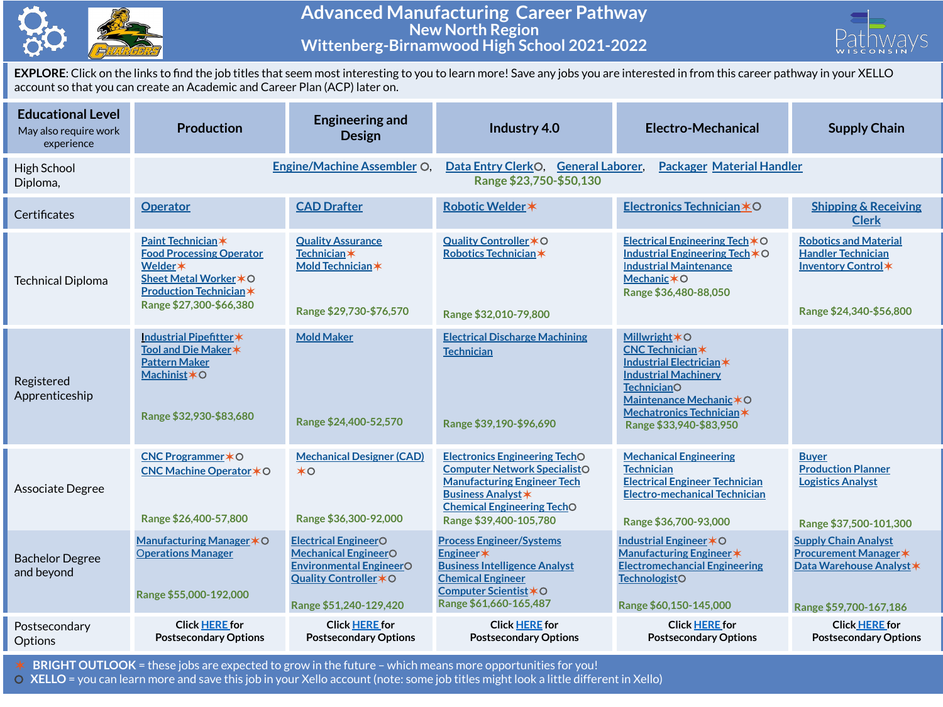

## **Advanced Manufacturing Career Pathway New North Region Wittenberg-Birnamwood High School 2021-2022**



**EXPLORE**: Click on the links to find the job titles that seem most interesting to you to learn more! Save any jobs you are interested in from this career pathway in your XELLO account so that you can create an Academic and Career Plan (ACP) later on.

| <b>Educational Level</b><br>May also require work<br>experience | <b>Production</b>                                                                                                                                      | <b>Engineering and</b><br><b>Design</b>                                                                                                          | Industry 4.0                                                                                                                                                                                                  | <b>Electro-Mechanical</b>                                                                                                                                                                                                         | <b>Supply Chain</b>                                                                                               |  |  |
|-----------------------------------------------------------------|--------------------------------------------------------------------------------------------------------------------------------------------------------|--------------------------------------------------------------------------------------------------------------------------------------------------|---------------------------------------------------------------------------------------------------------------------------------------------------------------------------------------------------------------|-----------------------------------------------------------------------------------------------------------------------------------------------------------------------------------------------------------------------------------|-------------------------------------------------------------------------------------------------------------------|--|--|
| High School<br>Diploma,                                         |                                                                                                                                                        | <b>Engine/Machine Assembler O.</b>                                                                                                               | <b>Packager Material Handler</b><br>Data Entry ClerkO,<br><b>General Laborer,</b><br>Range \$23,750-\$50,130                                                                                                  |                                                                                                                                                                                                                                   |                                                                                                                   |  |  |
| Certificates                                                    | <b>Operator</b>                                                                                                                                        | <b>CAD Drafter</b>                                                                                                                               | Robotic Welder *                                                                                                                                                                                              | Electronics Technician *O                                                                                                                                                                                                         | <b>Shipping &amp; Receiving</b><br><b>Clerk</b>                                                                   |  |  |
| <b>Technical Diploma</b>                                        | Paint Technician*<br><b>Food Processing Operator</b><br>Welder *<br>Sheet Metal Worker * O<br><b>Production Technician*</b><br>Range \$27,300-\$66,380 | <b>Quality Assurance</b><br><b>Technician</b> *<br>Mold Technician *<br>Range \$29,730-\$76,570                                                  | Quality Controller * O<br>Robotics Technician*<br>Range \$32,010-79,800                                                                                                                                       | Electrical Engineering Tech $*$ O<br>Industrial Engineering Tech $*$ O<br><b>Industrial Maintenance</b><br><b>Mechanic *O</b><br>Range \$36,480-88,050                                                                            | <b>Robotics and Material</b><br><b>Handler Technician</b><br>Inventory Control *<br>Range \$24,340-\$56,800       |  |  |
| Registered<br>Apprenticeship                                    | Industrial Pipefitter*<br>Tool and Die Maker *<br><b>Pattern Maker</b><br>Machinist * O<br>Range \$32,930-\$83,680                                     | <b>Mold Maker</b><br>Range \$24,400-52,570                                                                                                       | <b>Electrical Discharge Machining</b><br><b>Technician</b><br>Range \$39,190-\$96,690                                                                                                                         | <b>Millwright <math>*</math> O</b><br><b>CNC Technician*</b><br>Industrial Electrician *<br><b>Industrial Machinery</b><br><b>TechnicianO</b><br>Maintenance Mechanic * O<br>Mechatronics Technician *<br>Range \$33,940-\$83,950 |                                                                                                                   |  |  |
| Associate Degree                                                | CNC Programmer * O<br>CNC Machine Operator * O<br>Range \$26,400-57,800                                                                                | <b>Mechanical Designer (CAD)</b><br>$*$ <sup><math>\circ</math></sup><br>Range \$36,300-92,000                                                   | <b>Electronics Engineering TechO</b><br><b>Computer Network SpecialistO</b><br><b>Manufacturing Engineer Tech</b><br><b>Business Analyst *</b><br><b>Chemical Engineering TechO</b><br>Range \$39,400-105,780 | <b>Mechanical Engineering</b><br><b>Technician</b><br><b>Electrical Engineer Technician</b><br><b>Electro-mechanical Technician</b><br>Range \$36,700-93,000                                                                      | <b>Buyer</b><br><b>Production Planner</b><br><b>Logistics Analyst</b><br>Range \$37,500-101,300                   |  |  |
| <b>Bachelor Degree</b><br>and beyond                            | Manufacturing Manager * O<br><b>Operations Manager</b><br>Range \$55,000-192,000                                                                       | <b>Electrical EngineerO</b><br><b>Mechanical EngineerO</b><br><b>Environmental EngineerO</b><br>Quality Controller * O<br>Range \$51,240-129,420 | <b>Process Engineer/Systems</b><br>Engineer*<br><b>Business Intelligence Analyst</b><br><b>Chemical Engineer</b><br>Computer Scientist *O<br>Range \$61,660-165,487                                           | Industrial Engineer * O<br>Manufacturing Engineer *<br><b>Electromechancial Engineering</b><br><b>TechnologistO</b><br>Range \$60,150-145,000                                                                                     | <b>Supply Chain Analyst</b><br><b>Procurement Manager *</b><br>Data Warehouse Analyst *<br>Range \$59,700-167,186 |  |  |
| Postsecondary<br>Options                                        | <b>Click HERE for</b><br><b>Postsecondary Options</b>                                                                                                  | <b>Click HERE for</b><br><b>Postsecondary Options</b>                                                                                            | <b>Click HERE for</b><br><b>Postsecondary Options</b>                                                                                                                                                         | <b>Click HERE for</b><br><b>Postsecondary Options</b>                                                                                                                                                                             | <b>Click HERE for</b><br><b>Postsecondary Options</b>                                                             |  |  |

✶ **BRIGHT OUTLOOK** = these jobs are expected to grow in the future – which means more opportunities for you!

⚪ **XELLO** = you can learn more and save this job in your Xello account (note: some job titles might look a little different in Xello)